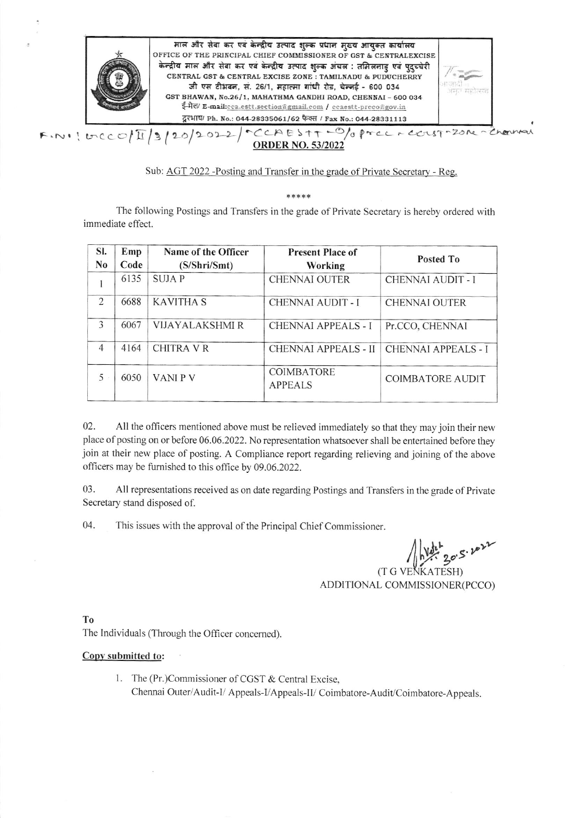

## **ORDER NO. 53/2022**

Sub: AGT 2022 - Posting and Transfer in the grade of Private Secretary - Reg.

\*\*\*\*\*

The following Postings and Transfers in the grade of Private Secretary is hereby ordered with immediate effect.

| SI.<br>N <sub>0</sub> | Emp<br>Code | Name of the Officer<br>(S/Shri/Smt) | <b>Present Place of</b><br>Working  | Posted To                  |
|-----------------------|-------------|-------------------------------------|-------------------------------------|----------------------------|
|                       | 6135        | <b>SUJAP</b>                        | <b>CHENNAI OUTER</b>                | <b>CHENNAI AUDIT - I</b>   |
| 2                     | 6688        | <b>KAVITHA S</b>                    | <b>CHENNAI AUDIT - I</b>            | <b>CHENNAI OUTER</b>       |
| 3                     | 6067        | <b>VIJAYALAKSHMI R</b>              | <b>CHENNAI APPEALS - I</b>          | Pr.CCO, CHENNAI            |
| 4                     | 4164        | CHITRA VR                           | CHENNAI APPEALS - II                | <b>CHENNAI APPEALS - I</b> |
| 5                     | 6050        | <b>VANIPV</b>                       | <b>COIMBATORE</b><br><b>APPEALS</b> | <b>COIMBATORE AUDIT</b>    |

02. All the officers mentioned above must be relieved immediately so that they may join their new place of posting on or before 06.06.2022. No representation whatsoever shall be entertained before they join at their new place of posting. A Compliance report regarding relieving and joining of the above officers may be furnished to this office by 09.06.2022.

03. All representations received as on date regarding Postings and Transfers in the grade of Private Secretary stand disposed of.

04. This issues with the approval of the Principal Chief Commissioner.

 $30.5.1012$ 

(T G VE ESH) ADDITIONAL COMMISSIONER(PCCO)

T<sub>0</sub>

The Individuals (Through the Officer concerned).

## Copy submitted to:

1. The (Pr.)Commissioner of CGST & Central Excise, Chennai Outer/Audit-I/ Appeals-I/Appeals-II/ Coimbatore-Audit/Coimbatore-Appeals.